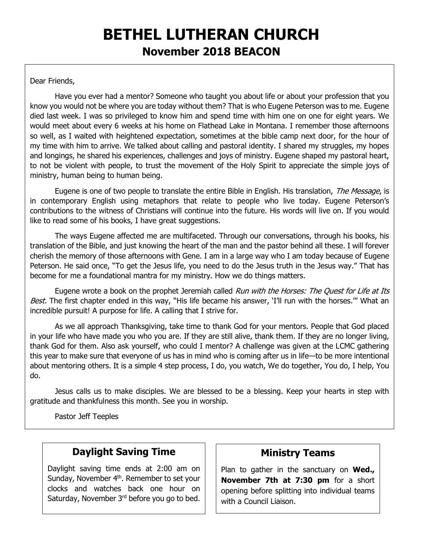# **BETHEL LUTHERAN CHURCH November 2018 BEACON**

#### Dear Friends,

Have you ever had a mentor? Someone who taught you about life or about your profession that you know you would not be where you are today without them? That is who Eugene Peterson was to me. Eugene died last week. I was so privileged to know him and spend time with him one on one for eight years. We would meet about every 6 weeks at his home on Flathead Lake in Montana. I remember those afternoons so well, as I waited with heightened expectation, sometimes at the bible camp next door, for the hour of my time with him to arrive. We talked about calling and pastoral identity. I shared my struggles, my hopes and longings, he shared his experiences, challenges and joys of ministry. Eugene shaped my pastoral heart, to not be violent with people, to trust the movement of the Holy Spirit to appreciate the simple joys of ministry, human being to human being.

Eugene is one of two people to translate the entire Bible in English. His translation, The Message, is in contemporary English using metaphors that relate to people who live today. Eugene Peterson's contributions to the witness of Christians will continue into the future. His words will live on. If you would like to read some of his books, I have great suggestions.

The ways Eugene affected me are multifaceted. Through our conversations, through his books, his translation of the Bible, and just knowing the heart of the man and the pastor behind all these. I will forever cherish the memory of those afternoons with Gene. I am in a large way who I am today because of Eugene Peterson. He said once, "To get the Jesus life, you need to do the Jesus truth in the Jesus way." That has become for me a foundational mantra for my ministry. How we do things matters.

Eugene wrote a book on the prophet Jeremiah called *Run with the Horses: The Quest for Life at Its* Best. The first chapter ended in this way, "His life became his answer, 'I'll run with the horses."" What an incredible pursuit! A purpose for life. A calling that I strive for.

As we all approach Thanksgiving, take time to thank God for your mentors. People that God placed in your life who have made you who you are. If they are still alive, thank them. If they are no longer living, thank God for them. Also ask yourself, who could I mentor? A challenge was given at the LCMC gathering this year to make sure that everyone of us has in mind who is coming after us in life—to be more intentional about mentoring others. It is a simple 4 step process, I do, you watch, We do together, You do, I help, You do.

Jesus calls us to make disciples. We are blessed to be a blessing. Keep your hearts in step with gratitude and thankfulness this month. See you in worship.

Pastor Jeff Teeples

### **Daylight Saving Time**

Daylight saving time ends at 2:00 am on Sunday, November 4<sup>th</sup>. Remember to set your clocks and watches back one hour on Saturday, November 3<sup>rd</sup> before you go to bed.

#### **Ministry Teams**

Plan to gather in the sanctuary on **Wed., November 7th at 7:30 pm** for a short opening before splitting into individual teams with a Council Liaison.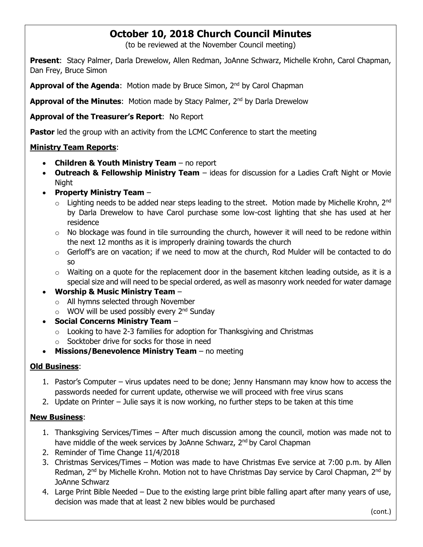### **October 10, 2018 Church Council Minutes**

(to be reviewed at the November Council meeting)

**Present**: Stacy Palmer, Darla Drewelow, Allen Redman, JoAnne Schwarz, Michelle Krohn, Carol Chapman, Dan Frey, Bruce Simon

**Approval of the Agenda:** Motion made by Bruce Simon, 2<sup>nd</sup> by Carol Chapman

**Approval of the Minutes:** Motion made by Stacy Palmer, 2<sup>nd</sup> by Darla Drewelow

**Approval of the Treasurer's Report**: No Report

**Pastor** led the group with an activity from the LCMC Conference to start the meeting

#### **Ministry Team Reports**:

- **Children & Youth Ministry Team** no report
- **Outreach & Fellowship Ministry Team** ideas for discussion for a Ladies Craft Night or Movie Night
- **Property Ministry Team**
	- $\circ$  Lighting needs to be added near steps leading to the street. Motion made by Michelle Krohn, 2<sup>nd</sup> by Darla Drewelow to have Carol purchase some low-cost lighting that she has used at her residence
	- $\circ$  No blockage was found in tile surrounding the church, however it will need to be redone within the next 12 months as it is improperly draining towards the church
	- $\circ$  Gerloff's are on vacation; if we need to mow at the church, Rod Mulder will be contacted to do so
	- $\circ$  Waiting on a quote for the replacement door in the basement kitchen leading outside, as it is a special size and will need to be special ordered, as well as masonry work needed for water damage

#### • **Worship & Music Ministry Team** –

- o All hymns selected through November
- $\circ$  WOV will be used possibly every 2<sup>nd</sup> Sunday
- **Social Concerns Ministry Team**
	- $\circ$  Looking to have 2-3 families for adoption for Thanksgiving and Christmas
	- o Socktober drive for socks for those in need
- **Missions/Benevolence Ministry Team** no meeting

#### **Old Business**:

- 1. Pastor's Computer virus updates need to be done; Jenny Hansmann may know how to access the passwords needed for current update, otherwise we will proceed with free virus scans
- 2. Update on Printer Julie says it is now working, no further steps to be taken at this time

#### **New Business**:

- 1. Thanksgiving Services/Times After much discussion among the council, motion was made not to have middle of the week services by JoAnne Schwarz, 2<sup>nd</sup> by Carol Chapman
- 2. Reminder of Time Change 11/4/2018
- 3. Christmas Services/Times Motion was made to have Christmas Eve service at 7:00 p.m. by Allen Redman, 2<sup>nd</sup> by Michelle Krohn. Motion not to have Christmas Day service by Carol Chapman, 2<sup>nd</sup> by JoAnne Schwarz
- 4. Large Print Bible Needed Due to the existing large print bible falling apart after many years of use, decision was made that at least 2 new bibles would be purchased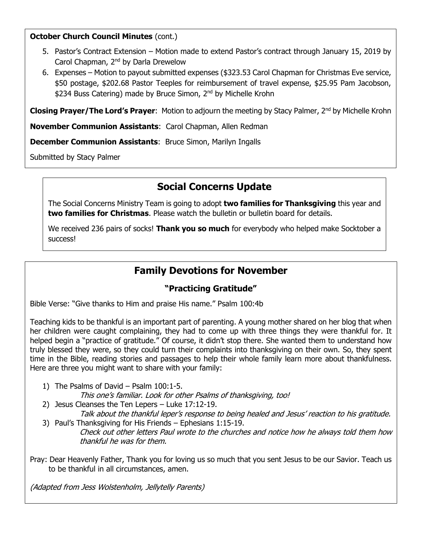#### **October Church Council Minutes** (cont.)

- 5. Pastor's Contract Extension Motion made to extend Pastor's contract through January 15, 2019 by Carol Chapman, 2nd by Darla Drewelow
- 6. Expenses Motion to payout submitted expenses (\$323.53 Carol Chapman for Christmas Eve service, \$50 postage, \$202.68 Pastor Teeples for reimbursement of travel expense, \$25.95 Pam Jacobson, \$234 Buss Catering) made by Bruce Simon, 2<sup>nd</sup> by Michelle Krohn

**Closing Prayer/The Lord's Prayer:** Motion to adjourn the meeting by Stacy Palmer, 2<sup>nd</sup> by Michelle Krohn

**November Communion Assistants**: Carol Chapman, Allen Redman

**December Communion Assistants**: Bruce Simon, Marilyn Ingalls

Submitted by Stacy Palmer

### **Social Concerns Update**

The Social Concerns Ministry Team is going to adopt **two families for Thanksgiving** this year and **two families for Christmas**. Please watch the bulletin or bulletin board for details.

We received 236 pairs of socks! **Thank you so much** for everybody who helped make Socktober a success!

# **Family Devotions for November**

### **"Practicing Gratitude"**

Bible Verse: "Give thanks to Him and praise His name." Psalm 100:4b

Teaching kids to be thankful is an important part of parenting. A young mother shared on her blog that when her children were caught complaining, they had to come up with three things they were thankful for. It helped begin a "practice of gratitude." Of course, it didn't stop there. She wanted them to understand how truly blessed they were, so they could turn their complaints into thanksgiving on their own. So, they spent time in the Bible, reading stories and passages to help their whole family learn more about thankfulness. Here are three you might want to share with your family:

1) The Psalms of David – Psalm 100:1-5.

This one's familiar. Look for other Psalms of thanksgiving, too!

2) Jesus Cleanses the Ten Lepers – Luke 17:12-19.

Talk about the thankful leper's response to being healed and Jesus' reaction to his gratitude. 3) Paul's Thanksgiving for His Friends – Ephesians 1:15-19.

Check out other letters Paul wrote to the churches and notice how he always told them how thankful he was for them.

Pray: Dear Heavenly Father, Thank you for loving us so much that you sent Jesus to be our Savior. Teach us to be thankful in all circumstances, amen.

(Adapted from Jess Wolstenholm, Jellytelly Parents)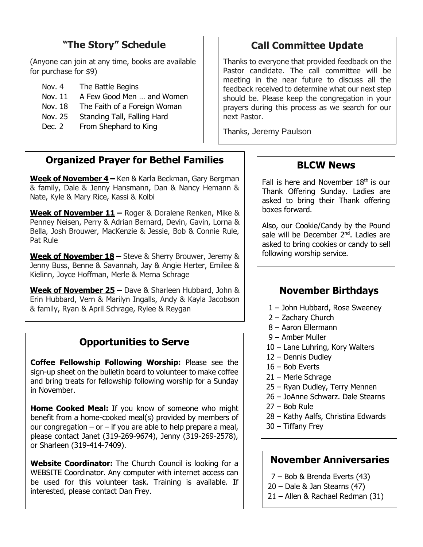# **"The Story" Schedule**

(Anyone can join at any time, books are available for purchase for \$9)

- Nov. 4 The Battle Begins
- Nov. 11 A Few Good Men … and Women
- Nov. 18 The Faith of a Foreign Woman
- Nov. 25 Standing Tall, Falling Hard
- Dec. 2 From Shephard to King

# **Call Committee Update**

Thanks to everyone that provided feedback on the Pastor candidate. The call committee will be meeting in the near future to discuss all the feedback received to determine what our next step should be. Please keep the congregation in your prayers during this process as we search for our next Pastor.

Thanks, Jeremy Paulson

### **Organized Prayer for Bethel Families**

**Week of November 4 –** Ken & Karla Beckman, Gary Bergman & family, Dale & Jenny Hansmann, Dan & Nancy Hemann & Nate, Kyle & Mary Rice, Kassi & Kolbi

**Week of November 11 –** Roger & Doralene Renken, Mike & Penney Neisen, Perry & Adrian Bernard, Devin, Gavin, Lorna & Bella, Josh Brouwer, MacKenzie & Jessie, Bob & Connie Rule, Pat Rule

**Week of November 18 –** Steve & Sherry Brouwer, Jeremy & Jenny Buss, Benne & Savannah, Jay & Angie Herter, Emilee & Kielinn, Joyce Hoffman, Merle & Merna Schrage

**Week of November 25 –** Dave & Sharleen Hubbard, John & Erin Hubbard, Vern & Marilyn Ingalls, Andy & Kayla Jacobson & family, Ryan & April Schrage, Rylee & Reygan

# **Opportunities to Serve**

**Coffee Fellowship Following Worship:** Please see the sign-up sheet on the bulletin board to volunteer to make coffee and bring treats for fellowship following worship for a Sunday in November.

**Home Cooked Meal:** If you know of someone who might benefit from a home-cooked meal(s) provided by members of our congregation – or – if you are able to help prepare a meal, please contact Janet (319-269-9674), Jenny (319-269-2578), or Sharleen (319-414-7409).

**Website Coordinator:** The Church Council is looking for a WEBSITE Coordinator. Any computer with internet access can be used for this volunteer task. Training is available. If interested, please contact Dan Frey.

### **BLCW News**

Fall is here and November  $18<sup>th</sup>$  is our Thank Offering Sunday. Ladies are asked to bring their Thank offering boxes forward.

Also, our Cookie/Candy by the Pound sale will be December 2<sup>nd</sup>. Ladies are asked to bring cookies or candy to sell following worship service.

### **November Birthdays**

- 1 John Hubbard, Rose Sweeney
- 2 Zachary Church
- 8 Aaron Ellermann
- 9 Amber Muller
- 10 Lane Luhring, Kory Walters
- 12 Dennis Dudley
- 16 Bob Everts
- 21 Merle Schrage
- 25 Ryan Dudley, Terry Mennen
- 26 JoAnne Schwarz. Dale Stearns
- 27 Bob Rule
- 28 Kathy Aalfs, Christina Edwards
- 30 Tiffany Frey

#### **November Anniversaries**

- 7 Bob & Brenda Everts (43)
- 20 Dale & Jan Stearns (47)
- 21 Allen & Rachael Redman (31)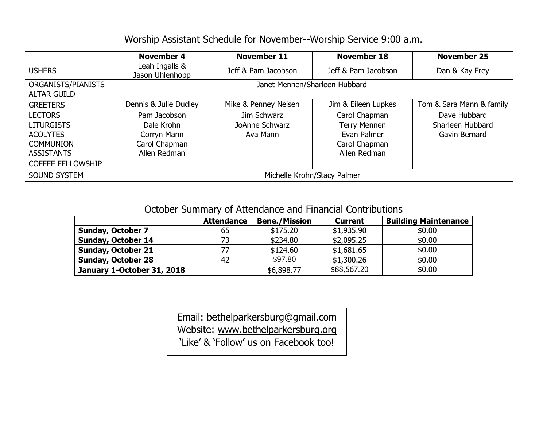### Worship Assistant Schedule for November--Worship Service 9:00 a.m.

|                          | <b>November 4</b>                 | <b>November 11</b>                    | <b>November 18</b>  | <b>November 25</b>       |  |  |  |
|--------------------------|-----------------------------------|---------------------------------------|---------------------|--------------------------|--|--|--|
| <b>USHERS</b>            | Leah Ingalls &<br>Jason Uhlenhopp | Jeff & Pam Jacobson                   | Jeff & Pam Jacobson | Dan & Kay Frey           |  |  |  |
| ORGANISTS/PIANISTS       | Janet Mennen/Sharleen Hubbard     |                                       |                     |                          |  |  |  |
| <b>ALTAR GUILD</b>       |                                   |                                       |                     |                          |  |  |  |
| <b>GREETERS</b>          | Dennis & Julie Dudley             | Mike & Penney Neisen                  | Jim & Eileen Lupkes | Tom & Sara Mann & family |  |  |  |
| <b>LECTORS</b>           | Pam Jacobson                      | Jim Schwarz                           | Carol Chapman       | Dave Hubbard             |  |  |  |
| <b>LITURGISTS</b>        | Dale Krohn                        | <b>Terry Mennen</b><br>JoAnne Schwarz |                     | Sharleen Hubbard         |  |  |  |
| <b>ACOLYTES</b>          | Corryn Mann                       | Ava Mann                              | Evan Palmer         | Gavin Bernard            |  |  |  |
| <b>COMMUNION</b>         | Carol Chapman                     |                                       | Carol Chapman       |                          |  |  |  |
| <b>ASSISTANTS</b>        | Allen Redman                      |                                       | Allen Redman        |                          |  |  |  |
| <b>COFFEE FELLOWSHIP</b> |                                   |                                       |                     |                          |  |  |  |
| <b>SOUND SYSTEM</b>      | Michelle Krohn/Stacy Palmer       |                                       |                     |                          |  |  |  |

October Summary of Attendance and Financial Contributions

|                            | <b>Attendance</b> | <b>Bene./Mission</b> | <b>Current</b> | <b>Building Maintenance</b> |
|----------------------------|-------------------|----------------------|----------------|-----------------------------|
| <b>Sunday, October 7</b>   | 65                | \$175.20             | \$1,935.90     | \$0.00                      |
| <b>Sunday, October 14</b>  | 73                | \$234.80             | \$2,095.25     | \$0.00                      |
| <b>Sunday, October 21</b>  | 77                | \$124.60             | \$1,681.65     | \$0.00                      |
| <b>Sunday, October 28</b>  | 42                | \$97.80              | \$1,300.26     | \$0.00                      |
| January 1-October 31, 2018 |                   | \$6,898.77           | \$88,567.20    | \$0.00                      |

Email: [bethelparkersburg@gmail.com](mailto:bethelparkersburg@gmail.com) Website: [www.bethelparkersburg.org](http://www.bethelparkersburg.org/)

'Like' & 'Follow' us on Facebook too!